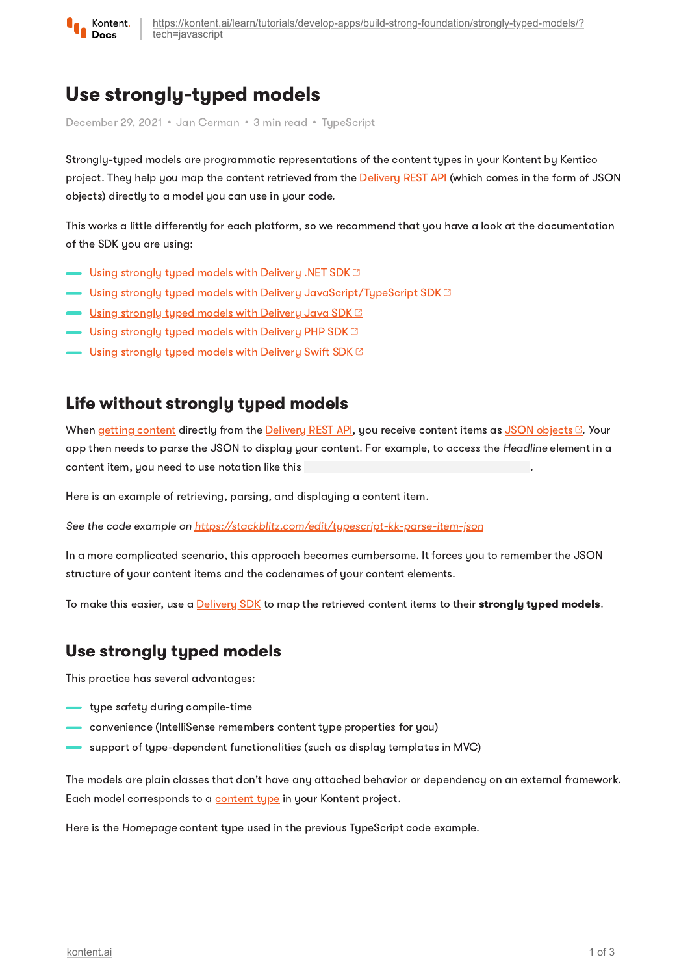

# Use strongly-typed models

December 29, 2021 • Jan Cerman • 3 min read • TupeScript

Strongly-typed models are programmatic representations of the content types in your Kontent by Kentico project. They help you map the content retrieved from the **[Delivery](https://kontent.ai/learn/reference/delivery-api/) REST API** (which comes in the form of JSON objects) directly to a model you can use in your code.

This works a little differently for each platform, so we recommend that you have a look at the documentation of the SDK you are using:

- $\blacksquare$  Using [strongly](https://github.com/Kentico/kontent-delivery-sdk-net/wiki/Working-with-strongly-typed-models) typed models with Delivery .NET SDK  $\boxtimes$
- $\blacksquare$  Using strongly typed models with Delivery [JavaScript/TypeScript](https://github.com/Kentico/kontent-delivery-sdk-js/#create-typed-models) SDK  $\boxtimes$
- <u>Using [strongly](https://github.com/Kentico/kontent-java-packages/wiki/Working-with-strongly-typed-models-%28aka-Code-First-approach%29) typed models with Delivery Java SDK <sup>c</sup></u>
- $\blacksquare$  Using [strongly](https://github.com/Kentico/kontent-delivery-sdk-php#properties-and-their-types) typed models with Delivery PHP SDK $\boxtimes$
- Using strong<u>ly typed models with Delivery Swift SDK</u>

#### Life without strongly typed models

When getting [content](https://kontent.ai/learn/tutorials/develop-apps/get-content/get-content-items/) directly from the [Delivery](https://kontent.ai/learn/reference/delivery-api/) REST API, you receive content items as JSON [objects](https://deliver.kontent.ai/8d20758c-d74c-4f59-ae04-ee928c0816b7/items/hello_caas_world) . Your app then needs to parse the JSON to display your content. For example, to access the Headline element in a content item, you need to use notation like this

Here is an example of retrieving, parsing, and displaying a content item.

See the code example on <https://stackblitz.com/edit/typescript-kk-parse-item-json>

In a more complicated scenario, this approach becomes cumbersome. It forces you to remember the JSON structure of your content items and the codenames of your content elements.

To make this easier, use a **[Delivery](https://kontent.ai/learn/tutorials/develop-apps/overview/?tech=javascript) SDK** to map the retrieved content items to their **strongly typed models.** 

### Use strongly typed models

This practice has several advantages:

- type safety during compile-time
- convenience (IntelliSense remembers content type properties for you)
- support of type-dependent functionalities (such as display templates in MVC)

The models are plain classes that don't have any attached behavior or dependency on an external framework. Each model corresponds to a [content](https://kontent.ai/learn/tutorials/manage-kontent/content-modeling/create-and-delete-content-types/) type in your Kontent project.

Here is the Homepage content type used in the previous TypeScript code example.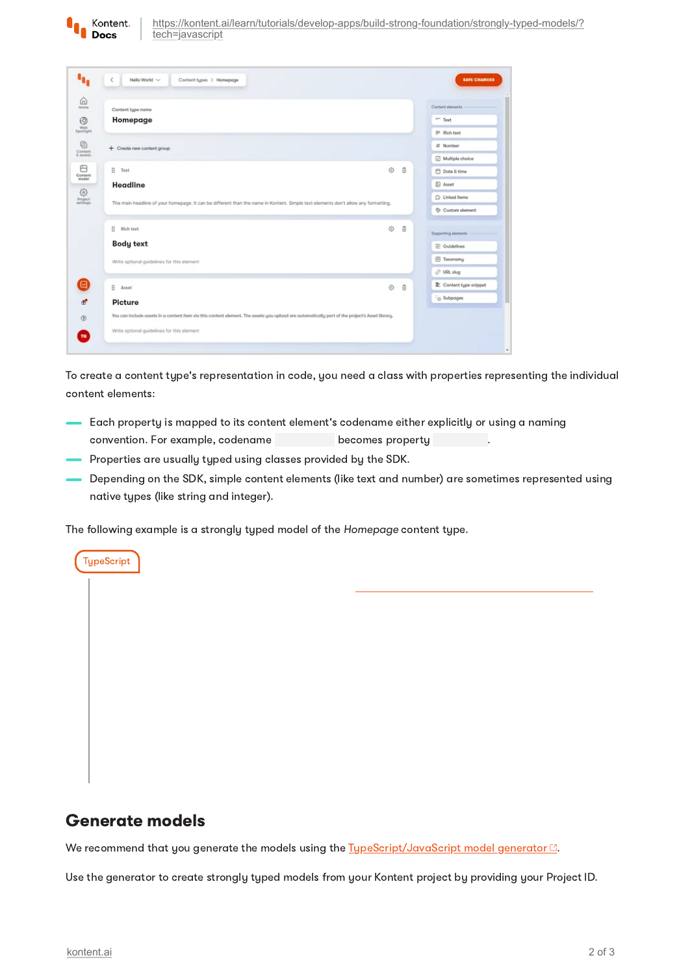| Content type name                                                                                                                               |                           | Content elements        |
|-------------------------------------------------------------------------------------------------------------------------------------------------|---------------------------|-------------------------|
| Homepage                                                                                                                                        |                           | $=$ Text                |
|                                                                                                                                                 |                           | P Rich text             |
| + Create new content group                                                                                                                      |                           | # Number                |
|                                                                                                                                                 |                           | Multiple choice         |
| m<br>Text                                                                                                                                       | Ò<br>$\ddot{\phantom{1}}$ | □ Date & time           |
| Headline                                                                                                                                        |                           | <b>B</b> Asset          |
| The main headline of your homepage. It can be different than the name in Kontent. Simple text elements don't allow any formatting.              |                           | $\bigcirc$ Linked items |
|                                                                                                                                                 |                           | Custom element          |
| ÷<br>Rich text                                                                                                                                  | ٨<br>$\ddot{\theta}$      | Supporting alamants     |
| <b>Body text</b>                                                                                                                                |                           | 空 Guidelines            |
| Write optional guidelines for this element                                                                                                      |                           | El Taxonomy             |
|                                                                                                                                                 |                           | C URL slug              |
| ÷<br>Asset                                                                                                                                      | ⊙<br>θ                    | Content type snippet    |
| Picture                                                                                                                                         |                           | C Subpages              |
| You can include assets in a content item via this content element. The assets you upload are automatically part of the project's Asset library. |                           |                         |
| Write optional guidelines for this element                                                                                                      |                           |                         |

To create a content type's representation in code, you need a class with properties representing the individual content elements:

- Each property is mapped to its content element's codename either explicitly or using a naming convention. For example, codename becomes property becomes property
- Properties are usually typed using classes provided by the SDK.
- Depending on the SDK, simple content elements (like text and number) are sometimes represented using native types (like string and integer).

The following example is a strongly typed model of the Homepage content type.

#### Generate models

**TypeScript** 

We recommend that you generate the models using the  $T_1$ ypeScript/JavaScript model generator  $\mathbb{C}$ .

Use the generator to create strongly typed models from your Kontent project by providing your Project ID.